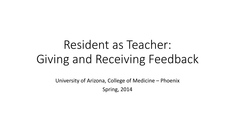# Resident as Teacher: Giving and Receiving Feedback

University of Arizona, College of Medicine – Phoenix Spring, 2014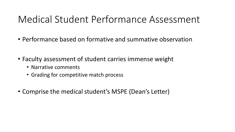#### Medical Student Performance Assessment

- Performance based on formative and summative observation
- Faculty assessment of student carries immense weight
	- Narrative comments
	- Grading for competitive match process
- Comprise the medical student's MSPE (Dean's Letter)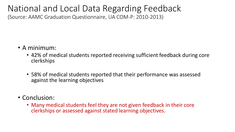#### National and Local Data Regarding Feedback

(Source: AAMC Graduation Questionnaire, UA COM-P: 2010-2013)

- A minimum:
	- 42% of medical students reported receiving sufficient feedback during core clerkships
	- 58% of medical students reported that their performance was assessed against the learning objectives
- Conclusion:
	- Many medical students feel they are not given feedback in their core clerkships or assessed against stated learning objectives.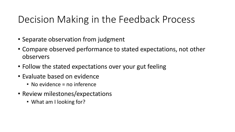#### Decision Making in the Feedback Process

- Separate observation from judgment
- Compare observed performance to stated expectations, not other observers
- Follow the stated expectations over your gut feeling
- Evaluate based on evidence
	- No evidence = no inference
- Review milestones/expectations
	- What am I looking for?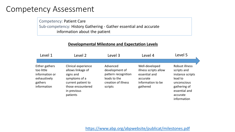#### Competency Assessment

Competency: Patient Care Sub-competency: History Gathering - Gather essential and accurate information about the patient

#### **Developmental Milestone and Expectation Levels**

| Level 1                                                                                  | Level 2                                                                                                                                      | Level 3                                                                                             | Level 4                                                                                               | Level 5                                                                                                                                 |
|------------------------------------------------------------------------------------------|----------------------------------------------------------------------------------------------------------------------------------------------|-----------------------------------------------------------------------------------------------------|-------------------------------------------------------------------------------------------------------|-----------------------------------------------------------------------------------------------------------------------------------------|
|                                                                                          |                                                                                                                                              |                                                                                                     |                                                                                                       |                                                                                                                                         |
| Either gathers<br>too little<br>information or<br>exhaustively<br>gathers<br>information | Clinical experience<br>allows linkage of<br>signs and<br>symptoms of a<br>current patient to<br>those encountered<br>in previous<br>patients | Advanced<br>development of<br>pattern recognition<br>leads to the<br>creation of illness<br>scripts | Well-developed<br>illness scripts allow<br>essential and<br>accurate<br>information to be<br>gathered | Robust illness<br>scripts and<br>instance scripts<br>lead to<br>unconscious<br>gathering of<br>essential and<br>accurate<br>information |

<https://www.abp.org/abpwebsite/publicat/milestones.pdf>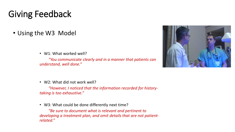#### Giving Feedback

• Using the W3 Model

• W1: What worked well?

*"You communicate clearly and in a manner that patients can understand, well done."*



• W2: What did not work well?

*"However, I noticed that the information recorded for historytaking is too exhaustive."*

• W3: What could be done differently next time?

*"Be sure to document what is relevant and pertinent to developing a treatment plan, and omit details that are not patientrelated."*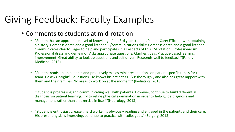#### Giving Feedback: Faculty Examples

- Comments to students at mid-rotation:
	- "Student has an appropriate level of knowledge for a 3rd year student. Patient Care: Efficient with obtaining a history. Compassionate and a good listener. IP/communications skills: Compassionate and a good listener. Communicates clearly. Eager to help and participates in all aspects of this FM rotation. Professionalism: Professional dress and demeanor. Asks appropriate questions. Clarifies goals. Practice-based learning improvement: Great ability to look up questions and self driven. Responds well to feedback."(Family Medicine, 2013)
	- "Student reads up on patients and proactively makes mini presentations on patient specific topics for the team. He asks insightful questions. He knows his patient's H & P thoroughly and also has great rapport with them and their families. No areas to work on at the moment." (Pediatrics, 2013)
	- "Student is progressing and communicating well with patients. However, continue to build differential diagnosis via patient learning. Try to refine physical examination in order to help guide diagnosis and management rather than an exercise in itself."(Neurology, 2013)
	- "Student is enthusiastic, eager, hard worker, is obviously reading and engaged in the patients and their care. His presenting skills improving, continue to practice with colleagues." (Surgery, 2013)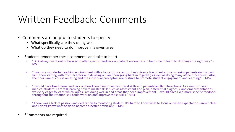#### Written Feedback: Comments

- Comments are helpful to students to specify:
	- What specifically, are they doing well
	- What do they need to do improve in a given area
- Students remember these comments and take to heart
	- "Dr X always went out of his way to offer specific feedback on patient encounters. It helps me to learn to do things the right way."  $-$ MS3
	- "I was in a wonderful teaching environment with a fantastic preceptor. I was given a ton of autonomy -- seeing patients on my own first, then staffing with my preceptor and devising a plan, then going back in together, as well as doing many office procedures. Also, the hours are of course amazing and the individual preceptors really strive to promote student engagement and learning." – MS2
	- "I would have liked more feedback on how I could improve my clinical skills and patient/faculty interactions. As a new 3rd year medical student, I am still learning how to master skills such as assessment and plan, differential diagnosis, and oral presentations. I was very eager to learn which areas I am doing well in and areas that need improvement. I would have liked more specific feedback throughout the rotation so I could work on and improve those skills." MS3
	- "There was a lack of passion and dedication to mentoring student. It's hard to know what to focus on when expectations aren't clear and I don't know what to do to become a better physician." – MS3
- \*Comments are required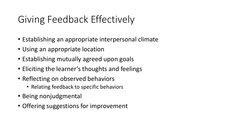## Giving Feedback Effectively

- Establishing an appropriate interpersonal climate
- Using an appropriate location
- Establishing mutually agreed upon goals
- Eliciting the learner's thoughts and feelings
- Reflecting on observed behaviors
	- Relating feedback to specific behaviors
- Being nonjudgmental
- Offering suggestions for improvement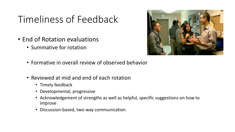#### Timeliness of Feedback

- End of Rotation evaluations
	- Summative for rotation



- Formative in overall review of observed behavior
- Reviewed at mid and end of each rotation
	- Timely feedback
	- Developmental, progressive
	- Acknowledgement of strengths as well as helpful, specific suggestions on how to improve
	- Discussion-based, two-way communication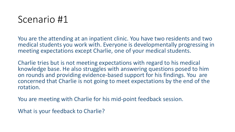#### Scenario #1

You are the attending at an inpatient clinic. You have two residents and two medical students you work with. Everyone is developmentally progressing in meeting expectations except Charlie, one of your medical students.

Charlie tries but is not meeting expectations with regard to his medical knowledge base. He also struggles with answering questions posed to him on rounds and providing evidence-based support for his findings. You are concerned that Charlie is not going to meet expectations by the end of the rotation.

You are meeting with Charlie for his mid-point feedback session.

What is your feedback to Charlie?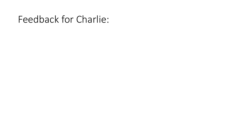#### Feedback for Charlie: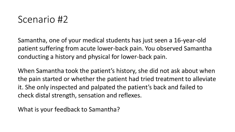#### Scenario #2

Samantha, one of your medical students has just seen a 16-year-old patient suffering from acute lower-back pain. You observed Samantha conducting a history and physical for lower-back pain.

When Samantha took the patient's history, she did not ask about when the pain started or whether the patient had tried treatment to alleviate it. She only inspected and palpated the patient's back and failed to check distal strength, sensation and reflexes.

What is your feedback to Samantha?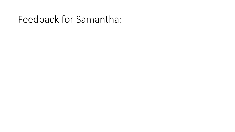#### Feedback for Samantha: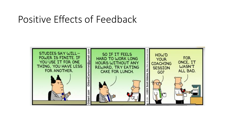#### Positive Effects of Feedback

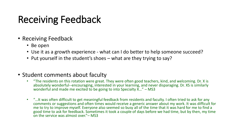#### Receiving Feedback

- Receiving Feedback
	- Be open
	- Use it as a growth experience what can I do better to help someone succeed?
	- Put yourself in the student's shoes what are they trying to say?
- Student comments about faculty
	- "The residents on this rotation were great. They were often good teachers, kind, and welcoming. Dr. X is absolutely wonderful--encouraging, interested in your learning, and never disparaging. Dr. XS is similarly wonderful and made me excited to be going to into Specialty X…" – MS3
	- "…It was often difficult to get meaningful feedback from residents and faculty. I often tried to ask for any comments or suggestions and often times would receive a generic answer about my work. It was difficult for me to try to improve myself. Everyone also seemed so busy all of the time that it was hard for me to find a good time to ask for feedback. Sometimes it took a couple of days before we had time, but by then, my time on the service was almost over."– MS3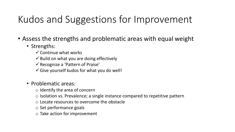## Kudos and Suggestions for Improvement

- Assess the strengths and problematic areas with equal weight
	- Strengths:
		- $\checkmark$  Continue what works
		- $\checkmark$  Build on what you are doing effectively
		- $\checkmark$  Recognize a 'Pattern of Praise'
		- $\checkmark$  Give yourself kudos for what you do well!
	- Problematic areas:
		- o Identify the area of concern
		- o Isolation vs. Prevalence; a single instance compared to repetitive pattern
		- o Locate resources to overcome the obstacle
		- o Set performance goals
		- o Take action for improvement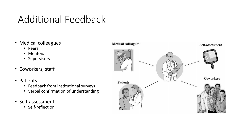### Additional Feedback

- Medical colleagues
	- Peers
	- Mentors
	- Supervisory
- Coworkers, staff
- Patients
	- Feedback from institutional surveys
	- Verbal confirmation of understanding
- Self-assessment
	- Self-reflection

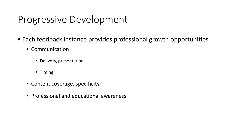#### Progressive Development

- Each feedback instance provides professional growth opportunities
	- Communication
		- Delivery, presentation
		- Timing
	- Content coverage, specificity
	- Professional and educational awareness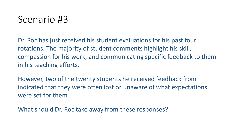#### Scenario #3

Dr. Roc has just received his student evaluations for his past four rotations. The majority of student comments highlight his skill, compassion for his work, and communicating specific feedback to them in his teaching efforts.

However, two of the twenty students he received feedback from indicated that they were often lost or unaware of what expectations were set for them.

What should Dr. Roc take away from these responses?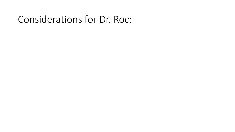#### Considerations for Dr. Roc: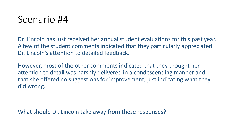#### Scenario #4

Dr. Lincoln has just received her annual student evaluations for this past year. A few of the student comments indicated that they particularly appreciated Dr. Lincoln's attention to detailed feedback.

However, most of the other comments indicated that they thought her attention to detail was harshly delivered in a condescending manner and that she offered no suggestions for improvement, just indicating what they did wrong.

What should Dr. Lincoln take away from these responses?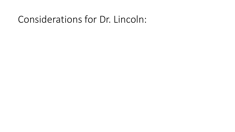#### Considerations for Dr. Lincoln: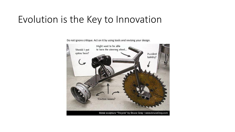#### Evolution is the Key to Innovation

Do not ignore critique. Act on it by using tools and revising your design.

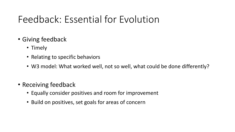#### Feedback: Essential for Evolution

- Giving feedback
	- Timely
	- Relating to specific behaviors
	- W3 model: What worked well, not so well, what could be done differently?
- Receiving feedback
	- Equally consider positives and room for improvement
	- Build on positives, set goals for areas of concern